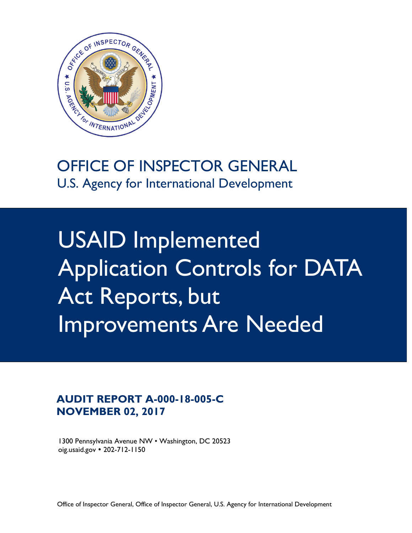

### OFFICE OF INSPECTOR GENERAL U.S. Agency for International Development

USAID Implemented Application Controls for DATA Act Reports, but Improvements Are Needed

### **AUDIT REPORT A-000-18-005-C NOVEMBER 02, 2017**

1300 Pennsylvania Avenue NW • Washington, DC 20523 oig.usaid.gov 202-712-1150

Office of Inspector General, Office of Inspector General, U.S. Agency for International Development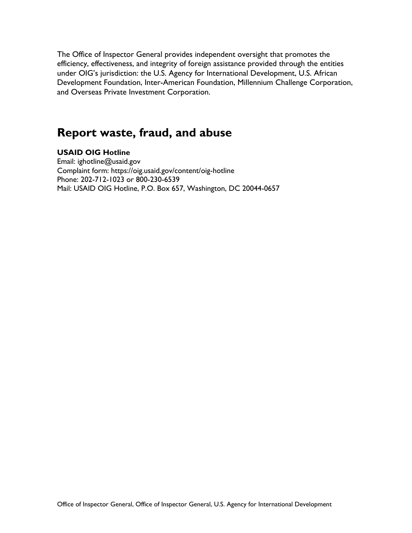The Office of Inspector General provides independent oversight that promotes the efficiency, effectiveness, and integrity of foreign assistance provided through the entities under OIG's jurisdiction: the U.S. Agency for International Development, U.S. African Development Foundation, Inter-American Foundation, Millennium Challenge Corporation, and Overseas Private Investment Corporation.

### **Report waste, fraud, and abuse**

#### **USAID OIG Hotline**

Email: ighotline@usaid.gov Complaint form: https://oig.usaid.gov/content/oig-hotline Phone: 202-712-1023 or 800-230-6539 Mail: USAID OIG Hotline, P.O. Box 657, Washington, DC 20044-0657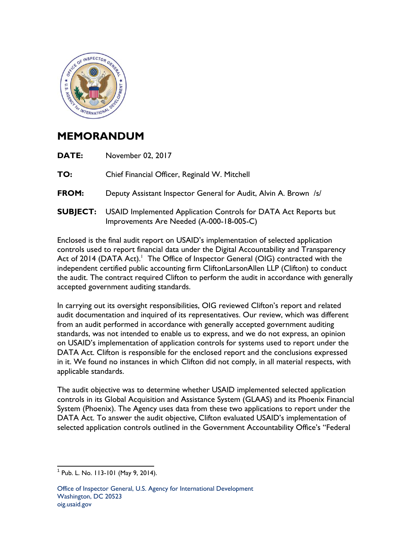

### **MEMORANDUM**

| DATE: | November 02, 2017                                                                                                           |
|-------|-----------------------------------------------------------------------------------------------------------------------------|
| TO:   | Chief Financial Officer, Reginald W. Mitchell                                                                               |
| FROM: | Deputy Assistant Inspector General for Audit, Alvin A. Brown /s/                                                            |
|       | <b>SUBJECT:</b> USAID Implemented Application Controls for DATA Act Reports but<br>Improvements Are Needed (A-000-18-005-C) |

Enclosed is the final audit report on USAID's implementation of selected application controls used to report financial data under the Digital Accountability and Transparency Act of 2014 (DATA Act).<sup>1</sup> The Office of Inspector General (OIG) contracted with the independent certified public accounting firm CliftonLarsonAllen LLP (Clifton) to conduct the audit. The contract required Clifton to perform the audit in accordance with generally accepted government auditing standards.

In carrying out its oversight responsibilities, OIG reviewed Clifton's report and related audit documentation and inquired of its representatives. Our review, which was different from an audit performed in accordance with generally accepted government auditing standards, was not intended to enable us to express, and we do not express, an opinion on USAID's implementation of application controls for systems used to report under the DATA Act. Clifton is responsible for the enclosed report and the conclusions expressed in it. We found no instances in which Clifton did not comply, in all material respects, with applicable standards.

The audit objective was to determine whether USAID implemented selected application controls in its Global Acquisition and Assistance System (GLAAS) and its Phoenix Financial System (Phoenix). The Agency uses data from these two applications to report under the DATA Act. To answer the audit objective, Clifton evaluated USAID's implementation of selected application controls outlined in the Government Accountability Office's "Federal

 $\frac{1}{2}$  . The contract of the contract of the contract of the contract of the contract of the contract of the contract of the contract of the contract of the contract of the contract of the contract of the contract of t  $1$  Pub. L. No. 113-101 (May 9, 2014).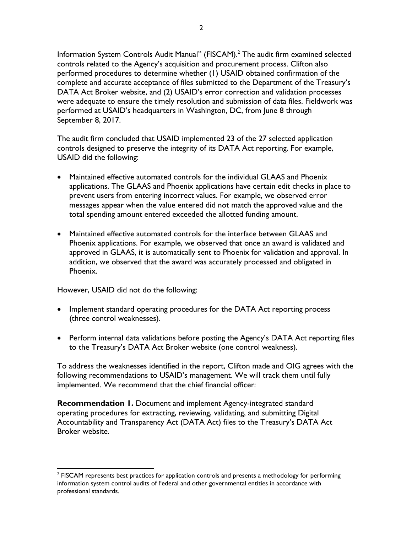Information System Controls Audit Manual" (FISCAM).<sup>2</sup> The audit firm examined selected controls related to the Agency's acquisition and procurement process. Clifton also performed procedures to determine whether (1) USAID obtained confirmation of the complete and accurate acceptance of files submitted to the Department of the Treasury's DATA Act Broker website, and (2) USAID's error correction and validation processes were adequate to ensure the timely resolution and submission of data files. Fieldwork was performed at USAID's headquarters in Washington, DC, from June 8 through September 8, 2017.

The audit firm concluded that USAID implemented 23 of the 27 selected application controls designed to preserve the integrity of its DATA Act reporting. For example, USAID did the following:

- Maintained effective automated controls for the individual GLAAS and Phoenix applications. The GLAAS and Phoenix applications have certain edit checks in place to prevent users from entering incorrect values. For example, we observed error messages appear when the value entered did not match the approved value and the total spending amount entered exceeded the allotted funding amount.
- Maintained effective automated controls for the interface between GLAAS and Phoenix applications. For example, we observed that once an award is validated and approved in GLAAS, it is automatically sent to Phoenix for validation and approval. In addition, we observed that the award was accurately processed and obligated in Phoenix.

However, USAID did not do the following:

- Implement standard operating procedures for the DATA Act reporting process (three control weaknesses).
- Perform internal data validations before posting the Agency's DATA Act reporting files to the Treasury's DATA Act Broker website (one control weakness).

To address the weaknesses identified in the report, Clifton made and OIG agrees with the following recommendations to USAID's management. We will track them until fully implemented. We recommend that the chief financial officer:

**Recommendation 1.** Document and implement Agency-integrated standard operating procedures for extracting, reviewing, validating, and submitting Digital Accountability and Transparency Act (DATA Act) files to the Treasury's DATA Act Broker website.

  $2$  FISCAM represents best practices for application controls and presents a methodology for performing information system control audits of Federal and other governmental entities in accordance with professional standards.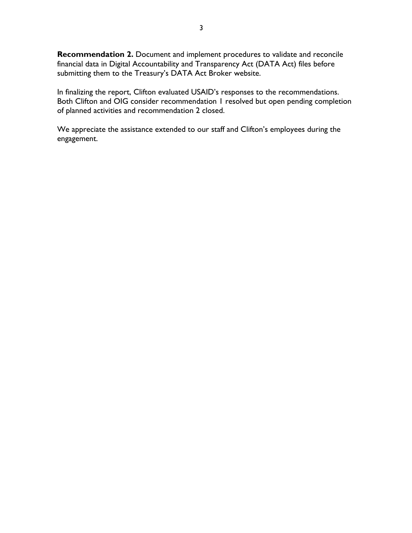**Recommendation 2.** Document and implement procedures to validate and reconcile financial data in Digital Accountability and Transparency Act (DATA Act) files before submitting them to the Treasury's DATA Act Broker website.

In finalizing the report, Clifton evaluated USAID's responses to the recommendations. Both Clifton and OIG consider recommendation 1 resolved but open pending completion of planned activities and recommendation 2 closed.

We appreciate the assistance extended to our staff and Clifton's employees during the engagement.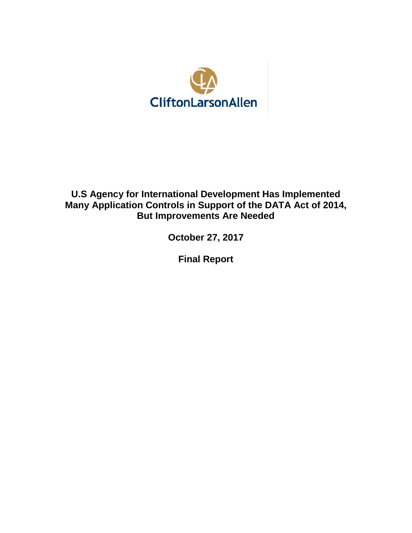

### **U.S Agency for International Development Has Implemented Many Application Controls in Support of the DATA Act of 2014, But Improvements Are Needed**

**October 27, 2017**

**Final Report**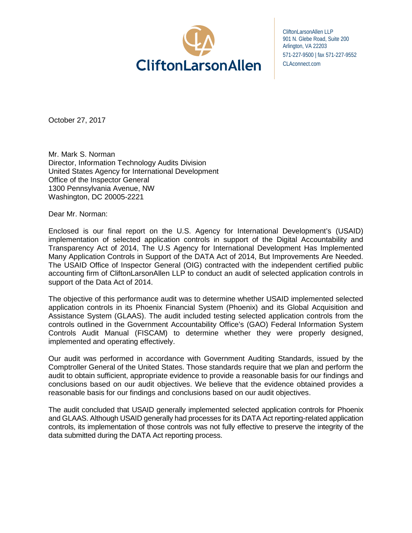

CliftonLarsonAllen LLP 901 N. Glebe Road, Suite 200 Arlington, VA 22203 571-227-9500 | fax 571-227-9552 CLAconnect.com

October 27, 2017

Mr. Mark S. Norman Director, Information Technology Audits Division United States Agency for International Development Office of the Inspector General 1300 Pennsylvania Avenue, NW Washington, DC 20005-2221

Dear Mr. Norman:

Enclosed is our final report on the U.S. Agency for International Development's (USAID) implementation of selected application controls in support of the Digital Accountability and Transparency Act of 2014, The U.S Agency for International Development Has Implemented Many Application Controls in Support of the DATA Act of 2014, But Improvements Are Needed. The USAID Office of Inspector General (OIG) contracted with the independent certified public accounting firm of CliftonLarsonAllen LLP to conduct an audit of selected application controls in support of the Data Act of 2014.

The objective of this performance audit was to determine whether USAID implemented selected application controls in its Phoenix Financial System (Phoenix) and its Global Acquisition and Assistance System (GLAAS). The audit included testing selected application controls from the controls outlined in the Government Accountability Office's (GAO) Federal Information System Controls Audit Manual (FISCAM) to determine whether they were properly designed, implemented and operating effectively.

Our audit was performed in accordance with Government Auditing Standards, issued by the Comptroller General of the United States. Those standards require that we plan and perform the audit to obtain sufficient, appropriate evidence to provide a reasonable basis for our findings and conclusions based on our audit objectives. We believe that the evidence obtained provides a reasonable basis for our findings and conclusions based on our audit objectives.

The audit concluded that USAID generally implemented selected application controls for Phoenix and GLAAS. Although USAID generally had processes for its DATA Act reporting-related application controls, its implementation of those controls was not fully effective to preserve the integrity of the data submitted during the DATA Act reporting process.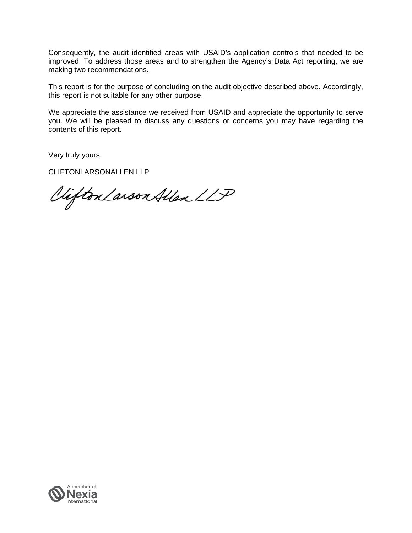Consequently, the audit identified areas with USAID's application controls that needed to be improved. To address those areas and to strengthen the Agency's Data Act reporting, we are making two recommendations.

This report is for the purpose of concluding on the audit objective described above. Accordingly, this report is not suitable for any other purpose.

We appreciate the assistance we received from USAID and appreciate the opportunity to serve you. We will be pleased to discuss any questions or concerns you may have regarding the contents of this report.

Very truly yours,

CLIFTONLARSONALLEN LLP

Clifton Larson Allen LLP

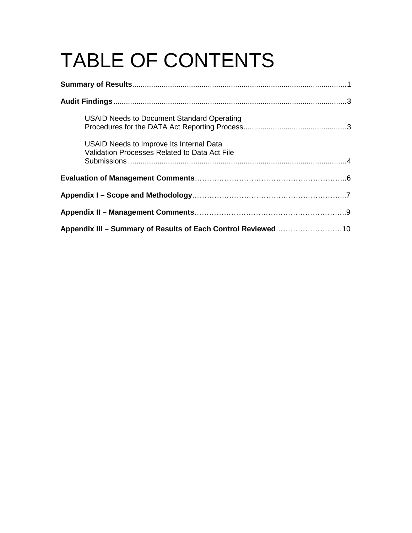# TABLE OF CONTENTS

| <b>USAID Needs to Document Standard Operating</b>                                         |  |  |  |
|-------------------------------------------------------------------------------------------|--|--|--|
| USAID Needs to Improve Its Internal Data<br>Validation Processes Related to Data Act File |  |  |  |
|                                                                                           |  |  |  |
|                                                                                           |  |  |  |
|                                                                                           |  |  |  |
| Appendix III - Summary of Results of Each Control Reviewed10                              |  |  |  |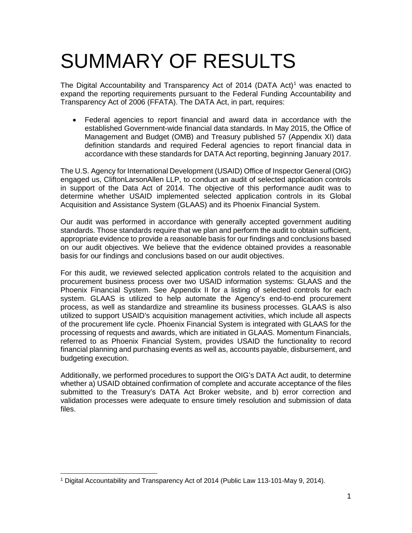## SUMMARY OF RESULTS

The Digital Accountability and Transparency Act of 20[1](#page-9-0)4 (DATA Act)<sup>1</sup> was enacted to expand the reporting requirements pursuant to the Federal Funding Accountability and Transparency Act of 2006 (FFATA). The DATA Act, in part, requires:

• Federal agencies to report financial and award data in accordance with the established Government-wide financial data standards. In May 2015, the Office of Management and Budget (OMB) and Treasury published 57 (Appendix XI) data definition standards and required Federal agencies to report financial data in accordance with these standards for DATA Act reporting, beginning January 2017.

The U.S. Agency for International Development (USAID) Office of Inspector General (OIG) engaged us, CliftonLarsonAllen LLP, to conduct an audit of selected application controls in support of the Data Act of 2014. The objective of this performance audit was to determine whether USAID implemented selected application controls in its Global Acquisition and Assistance System (GLAAS) and its Phoenix Financial System.

Our audit was performed in accordance with generally accepted government auditing standards. Those standards require that we plan and perform the audit to obtain sufficient, appropriate evidence to provide a reasonable basis for our findings and conclusions based on our audit objectives. We believe that the evidence obtained provides a reasonable basis for our findings and conclusions based on our audit objectives.

For this audit, we reviewed selected application controls related to the acquisition and procurement business process over two USAID information systems: GLAAS and the Phoenix Financial System. See Appendix II for a listing of selected controls for each system. GLAAS is utilized to help automate the Agency's end-to-end procurement process, as well as standardize and streamline its business processes. GLAAS is also utilized to support USAID's acquisition management activities, which include all aspects of the procurement life cycle. Phoenix Financial System is integrated with GLAAS for the processing of requests and awards, which are initiated in GLAAS. Momentum Financials, referred to as Phoenix Financial System, provides USAID the functionality to record financial planning and purchasing events as well as, accounts payable, disbursement, and budgeting execution.

Additionally, we performed procedures to support the OIG's DATA Act audit, to determine whether a) USAID obtained confirmation of complete and accurate acceptance of the files submitted to the Treasury's DATA Act Broker website, and b) error correction and validation processes were adequate to ensure timely resolution and submission of data files.

<span id="page-9-0"></span> <sup>1</sup> Digital Accountability and Transparency Act of 2014 (Public Law 113-101-May 9, 2014).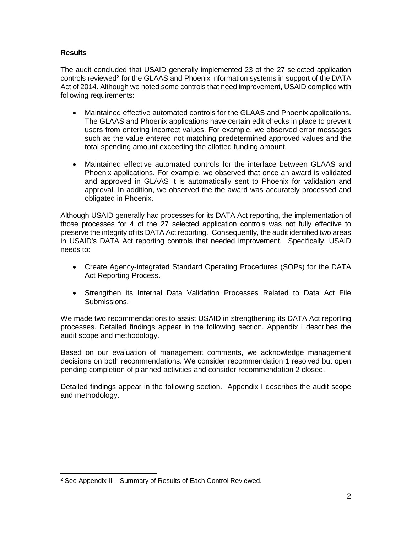#### **Results**

The audit concluded that USAID generally implemented 23 of the 27 selected application controls reviewed<sup>[2](#page-10-0)</sup> for the GLAAS and Phoenix information systems in support of the DATA Act of 2014. Although we noted some controls that need improvement, USAID complied with following requirements:

- Maintained effective automated controls for the GLAAS and Phoenix applications. The GLAAS and Phoenix applications have certain edit checks in place to prevent users from entering incorrect values. For example, we observed error messages such as the value entered not matching predetermined approved values and the total spending amount exceeding the allotted funding amount.
- Maintained effective automated controls for the interface between GLAAS and Phoenix applications. For example, we observed that once an award is validated and approved in GLAAS it is automatically sent to Phoenix for validation and approval. In addition, we observed the the award was accurately processed and obligated in Phoenix.

Although USAID generally had processes for its DATA Act reporting, the implementation of those processes for 4 of the 27 selected application controls was not fully effective to preserve the integrity of its DATA Act reporting. Consequently, the audit identified two areas in USAID's DATA Act reporting controls that needed improvement. Specifically, USAID needs to:

- Create Agency-integrated Standard Operating Procedures (SOPs) for the DATA Act Reporting Process.
- Strengthen its Internal Data Validation Processes Related to Data Act File Submissions.

We made two recommendations to assist USAID in strengthening its DATA Act reporting processes. Detailed findings appear in the following section. Appendix I describes the audit scope and methodology.

Based on our evaluation of management comments, we acknowledge management decisions on both recommendations. We consider recommendation 1 resolved but open pending completion of planned activities and consider recommendation 2 closed.

Detailed findings appear in the following section. Appendix I describes the audit scope and methodology.

<span id="page-10-0"></span> <sup>2</sup> See Appendix II – Summary of Results of Each Control Reviewed.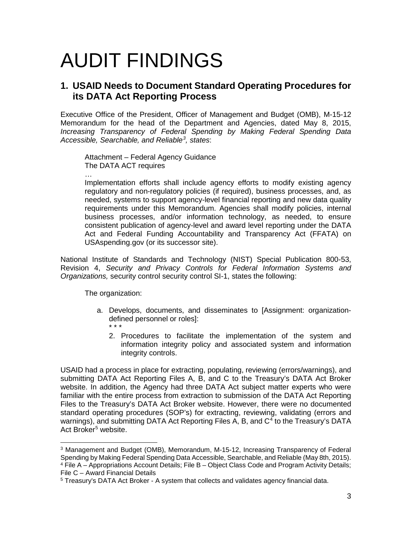## AUDIT FINDINGS

### **1. USAID Needs to Document Standard Operating Procedures for its DATA Act Reporting Process**

Executive Office of the President, Officer of Management and Budget (OMB), M-15-12 Memorandum for the head of the Department and Agencies, dated May 8, 2015, *Increasing Transparency of Federal Spending by Making Federal Spending Data Accessible, Searchable, and Reliable[3](#page-11-0) , states*:

Attachment – Federal Agency Guidance The DATA ACT requires

Implementation efforts shall include agency efforts to modify existing agency regulatory and non-regulatory policies (if required), business processes, and, as needed, systems to support agency-level financial reporting and new data quality requirements under this Memorandum. Agencies shall modify policies, internal business processes, and/or information technology, as needed, to ensure consistent publication of agency-level and award level reporting under the DATA Act and Federal Funding Accountability and Transparency Act (FFATA) on USAspending.gov (or its successor site).

National Institute of Standards and Technology (NIST) Special Publication 800-53, Revision 4, *Security and Privacy Controls for Federal Information Systems and Organizations,* security control security control SI-1, states the following:

The organization:

…

- a. Develops, documents, and disseminates to [Assignment: organizationdefined personnel or roles]: \* \* \*
	- 2. Procedures to facilitate the implementation of the system and information integrity policy and associated system and information integrity controls.

USAID had a process in place for extracting, populating, reviewing (errors/warnings), and submitting DATA Act Reporting Files A, B, and C to the Treasury's DATA Act Broker website. In addition, the Agency had three DATA Act subject matter experts who were familiar with the entire process from extraction to submission of the DATA Act Reporting Files to the Treasury's DATA Act Broker website. However, there were no documented standard operating procedures (SOP's) for extracting, reviewing, validating (errors and warnings), and submitting DATA Act Reporting Files A, B, and  $C<sup>4</sup>$  $C<sup>4</sup>$  $C<sup>4</sup>$  to the Treasury's DATA Act Broker<sup>[5](#page-11-2)</sup> website.

<span id="page-11-1"></span><span id="page-11-0"></span> <sup>3</sup> Management and Budget (OMB), Memorandum, M-15-12, Increasing Transparency of Federal Spending by Making Federal Spending Data Accessible, Searchable, and Reliable (May 8th, 2015). <sup>4</sup> File A – Appropriations Account Details; File B – Object Class Code and Program Activity Details; File C – Award Financial Details

<span id="page-11-2"></span><sup>5</sup> Treasury's DATA Act Broker - A system that collects and validates agency financial data.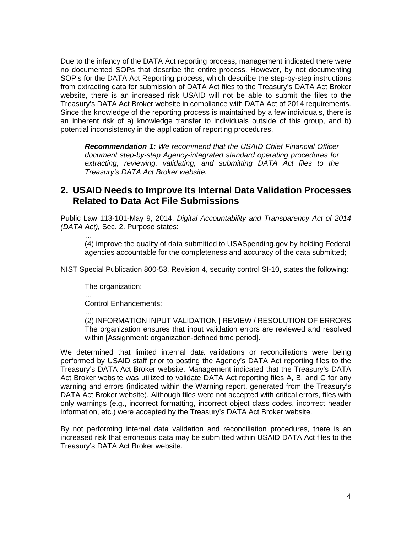Due to the infancy of the DATA Act reporting process, management indicated there were no documented SOPs that describe the entire process. However, by not documenting SOP's for the DATA Act Reporting process, which describe the step-by-step instructions from extracting data for submission of DATA Act files to the Treasury's DATA Act Broker website, there is an increased risk USAID will not be able to submit the files to the Treasury's DATA Act Broker website in compliance with DATA Act of 2014 requirements. Since the knowledge of the reporting process is maintained by a few individuals, there is an inherent risk of a) knowledge transfer to individuals outside of this group, and b) potential inconsistency in the application of reporting procedures.

*Recommendation 1: We recommend that the USAID Chief Financial Officer document step-by-step Agency-integrated standard operating procedures for extracting, reviewing, validating, and submitting DATA Act files to the Treasury's DATA Act Broker website.*

### **2. USAID Needs to Improve Its Internal Data Validation Processes Related to Data Act File Submissions**

Public Law 113-101-May 9, 2014, *Digital Accountability and Transparency Act of 2014 (DATA Act),* Sec. 2. Purpose states:

… (4) improve the quality of data submitted to USASpending.gov by holding Federal agencies accountable for the completeness and accuracy of the data submitted;

NIST Special Publication 800-53, Revision 4, security control SI-10, states the following:

The organization:

… Control Enhancements:

…

(2) INFORMATION INPUT VALIDATION | REVIEW / RESOLUTION OF ERRORS The organization ensures that input validation errors are reviewed and resolved within [Assignment: organization-defined time period].

We determined that limited internal data validations or reconciliations were being performed by USAID staff prior to posting the Agency's DATA Act reporting files to the Treasury's DATA Act Broker website. Management indicated that the Treasury's DATA Act Broker website was utilized to validate DATA Act reporting files A, B, and C for any warning and errors (indicated within the Warning report, generated from the Treasury's DATA Act Broker website). Although files were not accepted with critical errors, files with only warnings (e.g., incorrect formatting, incorrect object class codes, incorrect header information, etc.) were accepted by the Treasury's DATA Act Broker website.

By not performing internal data validation and reconciliation procedures, there is an increased risk that erroneous data may be submitted within USAID DATA Act files to the Treasury's DATA Act Broker website.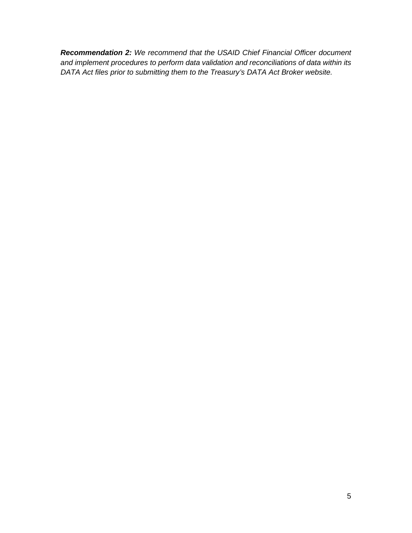*Recommendation 2: We recommend that the USAID Chief Financial Officer document and implement procedures to perform data validation and reconciliations of data within its DATA Act files prior to submitting them to the Treasury's DATA Act Broker website.*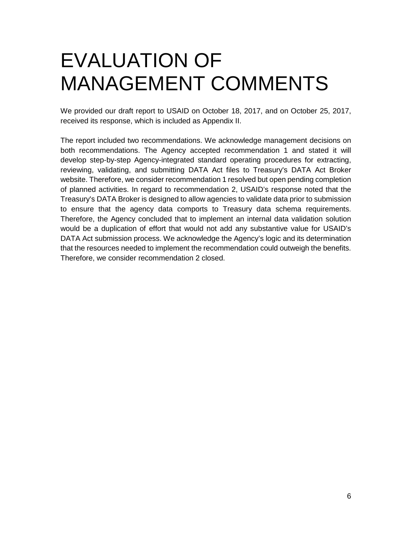## EVALUATION OF MANAGEMENT COMMENTS

We provided our draft report to USAID on October 18, 2017, and on October 25, 2017, received its response, which is included as Appendix II.

The report included two recommendations. We acknowledge management decisions on both recommendations. The Agency accepted recommendation 1 and stated it will develop step-by-step Agency-integrated standard operating procedures for extracting, reviewing, validating, and submitting DATA Act files to Treasury's DATA Act Broker website. Therefore, we consider recommendation 1 resolved but open pending completion of planned activities. In regard to recommendation 2, USAID's response noted that the Treasury's DATA Broker is designed to allow agencies to validate data prior to submission to ensure that the agency data comports to Treasury data schema requirements. Therefore, the Agency concluded that to implement an internal data validation solution would be a duplication of effort that would not add any substantive value for USAID's DATA Act submission process. We acknowledge the Agency's logic and its determination that the resources needed to implement the recommendation could outweigh the benefits. Therefore, we consider recommendation 2 closed.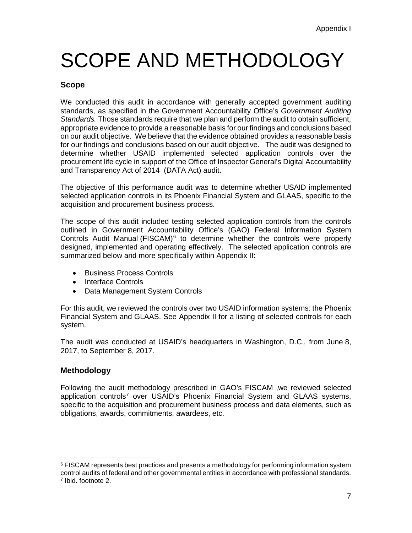## SCOPE AND METHODOLOGY

#### **Scope**

We conducted this audit in accordance with generally accepted government auditing standards, as specified in the Government Accountability Office's *Government Auditing Standards.* Those standards require that we plan and perform the audit to obtain sufficient, appropriate evidence to provide a reasonable basis for our findings and conclusions based on our audit objective. We believe that the evidence obtained provides a reasonable basis for our findings and conclusions based on our audit objective. The audit was designed to determine whether USAID implemented selected application controls over the procurement life cycle in support of the Office of Inspector General's Digital Accountability and Transparency Act of 2014 (DATA Act) audit.

The objective of this performance audit was to determine whether USAID implemented selected application controls in its Phoenix Financial System and GLAAS, specific to the acquisition and procurement business process.

The scope of this audit included testing selected application controls from the controls outlined in Government Accountability Office's (GAO) Federal Information System Controls Audit Manual (FISCAM) $6$  to determine whether the controls were properly designed, implemented and operating effectively. The selected application controls are summarized below and more specifically within Appendix II:

- Business Process Controls
- Interface Controls
- Data Management System Controls

For this audit, we reviewed the controls over two USAID information systems: the Phoenix Financial System and GLAAS. See Appendix II for a listing of selected controls for each system.

The audit was conducted at USAID's headquarters in Washington, D.C., from June 8, 2017, to September 8, 2017.

#### **Methodology**

Following the audit methodology prescribed in GAO's FISCAM ,we reviewed selected application controls<sup>[7](#page-15-1)</sup> over USAID's Phoenix Financial System and GLAAS systems, specific to the acquisition and procurement business process and data elements, such as obligations, awards, commitments, awardees, etc.

<span id="page-15-1"></span><span id="page-15-0"></span> $6$  FISCAM represents best practices and presents a methodology for performing information system control audits of federal and other governmental entities in accordance with professional standards. <sup>7</sup> Ibid. footnote 2.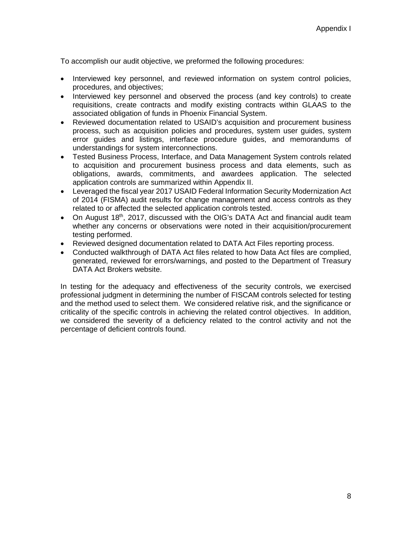To accomplish our audit objective, we preformed the following procedures:

- Interviewed key personnel, and reviewed information on system control policies, procedures, and objectives;
- Interviewed key personnel and observed the process (and key controls) to create requisitions, create contracts and modify existing contracts within GLAAS to the associated obligation of funds in Phoenix Financial System.
- Reviewed documentation related to USAID's acquisition and procurement business process, such as acquisition policies and procedures, system user guides, system error guides and listings, interface procedure guides, and memorandums of understandings for system interconnections.
- Tested Business Process, Interface, and Data Management System controls related to acquisition and procurement business process and data elements, such as obligations, awards, commitments, and awardees application. The selected application controls are summarized within Appendix II.
- Leveraged the fiscal year 2017 USAID Federal Information Security Modernization Act of 2014 (FISMA) audit results for change management and access controls as they related to or affected the selected application controls tested.
- On August 18<sup>th</sup>, 2017, discussed with the OIG's DATA Act and financial audit team whether any concerns or observations were noted in their acquisition/procurement testing performed.
- Reviewed designed documentation related to DATA Act Files reporting process.
- Conducted walkthrough of DATA Act files related to how Data Act files are complied, generated, reviewed for errors/warnings, and posted to the Department of Treasury DATA Act Brokers website.

In testing for the adequacy and effectiveness of the security controls, we exercised professional judgment in determining the number of FISCAM controls selected for testing and the method used to select them. We considered relative risk, and the significance or criticality of the specific controls in achieving the related control objectives. In addition, we considered the severity of a deficiency related to the control activity and not the percentage of deficient controls found.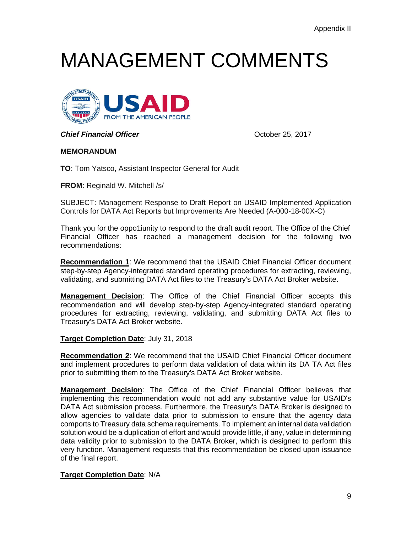## MANAGEMENT COMMENTS



**Chief Financial Officer Chief Financial Officer Chief Financial Officer** 

#### **MEMORANDUM**

**TO**: Tom Yatsco, Assistant Inspector General for Audit

**FROM**: Reginald W. Mitchell /s/

SUBJECT: Management Response to Draft Report on USAID Implemented Application Controls for DATA Act Reports but Improvements Are Needed (A-000-18-00X-C)

Thank you for the oppo1iunity to respond to the draft audit report. The Office of the Chief Financial Officer has reached a management decision for the following two recommendations:

**Recommendation 1**: We recommend that the USAID Chief Financial Officer document step-by-step Agency-integrated standard operating procedures for extracting, reviewing, validating, and submitting DATA Act files to the Treasury's DATA Act Broker website.

**Management Decision**: The Office of the Chief Financial Officer accepts this recommendation and will develop step-by-step Agency-integrated standard operating procedures for extracting, reviewing, validating, and submitting DATA Act files to Treasury's DATA Act Broker website.

#### **Target Completion Date**: July 31, 2018

**Recommendation 2**: We recommend that the USAID Chief Financial Officer document and implement procedures to perform data validation of data within its DA TA Act files prior to submitting them to the Treasury's DATA Act Broker website.

**Management Decision**: The Office of the Chief Financial Officer believes that implementing this recommendation would not add any substantive value for USAID's DATA Act submission process. Furthermore, the Treasury's DATA Broker is designed to allow agencies to validate data prior to submission to ensure that the agency data comports to Treasury data schema requirements. To implement an internal data validation solution would be a duplication of effort and would provide little, if any, value in determining data validity prior to submission to the DATA Broker, which is designed to perform this very function. Management requests that this recommendation be closed upon issuance of the final report.

#### **Target Completion Date**: N/A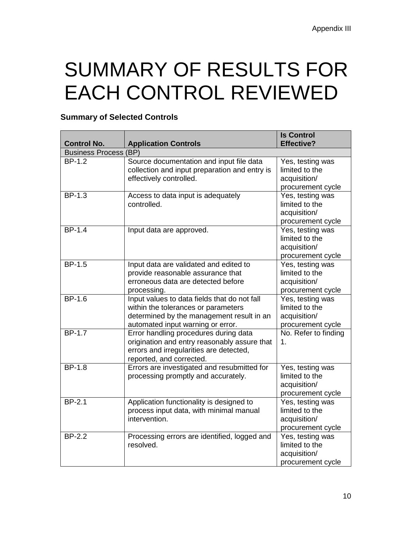## SUMMARY OF RESULTS FOR EACH CONTROL REVIEWED

### **Summary of Selected Controls**

| <b>Control No.</b>           | <b>Application Controls</b>                                                                                                                                           | <b>Is Control</b><br><b>Effective?</b>                                  |
|------------------------------|-----------------------------------------------------------------------------------------------------------------------------------------------------------------------|-------------------------------------------------------------------------|
| <b>Business Process (BP)</b> |                                                                                                                                                                       |                                                                         |
| <b>BP-1.2</b>                | Source documentation and input file data<br>collection and input preparation and entry is<br>effectively controlled.                                                  | Yes, testing was<br>limited to the<br>acquisition/<br>procurement cycle |
| <b>BP-1.3</b>                | Access to data input is adequately<br>controlled.                                                                                                                     | Yes, testing was<br>limited to the<br>acquisition/<br>procurement cycle |
| <b>BP-1.4</b>                | Input data are approved.                                                                                                                                              | Yes, testing was<br>limited to the<br>acquisition/<br>procurement cycle |
| <b>BP-1.5</b>                | Input data are validated and edited to<br>provide reasonable assurance that<br>erroneous data are detected before<br>processing.                                      | Yes, testing was<br>limited to the<br>acquisition/<br>procurement cycle |
| <b>BP-1.6</b>                | Input values to data fields that do not fall<br>within the tolerances or parameters<br>determined by the management result in an<br>automated input warning or error. | Yes, testing was<br>limited to the<br>acquisition/<br>procurement cycle |
| <b>BP-1.7</b>                | Error handling procedures during data<br>origination and entry reasonably assure that<br>errors and irregularities are detected,<br>reported, and corrected.          | No. Refer to finding<br>1.                                              |
| $BP-1.8$                     | Errors are investigated and resubmitted for<br>processing promptly and accurately.                                                                                    | Yes, testing was<br>limited to the<br>acquisition/<br>procurement cycle |
| <b>BP-2.1</b>                | Application functionality is designed to<br>process input data, with minimal manual<br>intervention.                                                                  | Yes, testing was<br>limited to the<br>acquisition/<br>procurement cycle |
| <b>BP-2.2</b>                | Processing errors are identified, logged and<br>resolved.                                                                                                             | Yes, testing was<br>limited to the<br>acquisition/<br>procurement cycle |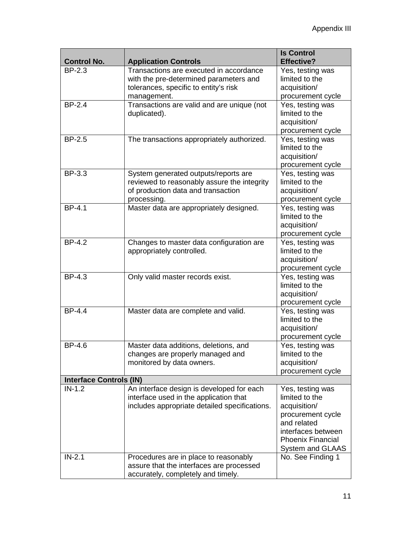|                                |                                                                                                                                           | <b>Is Control</b>                                                                                                                                                   |  |  |
|--------------------------------|-------------------------------------------------------------------------------------------------------------------------------------------|---------------------------------------------------------------------------------------------------------------------------------------------------------------------|--|--|
| <b>Control No.</b>             | <b>Application Controls</b>                                                                                                               | <b>Effective?</b>                                                                                                                                                   |  |  |
| <b>BP-2.3</b>                  | Transactions are executed in accordance<br>with the pre-determined parameters and<br>tolerances, specific to entity's risk<br>management. | Yes, testing was<br>limited to the<br>acquisition/<br>procurement cycle                                                                                             |  |  |
| <b>BP-2.4</b>                  | Transactions are valid and are unique (not<br>duplicated).                                                                                | Yes, testing was<br>limited to the<br>acquisition/<br>procurement cycle                                                                                             |  |  |
| <b>BP-2.5</b>                  | The transactions appropriately authorized.                                                                                                | Yes, testing was<br>limited to the<br>acquisition/<br>procurement cycle                                                                                             |  |  |
| BP-3.3                         | System generated outputs/reports are<br>reviewed to reasonably assure the integrity<br>of production data and transaction<br>processing.  | Yes, testing was<br>limited to the<br>acquisition/<br>procurement cycle                                                                                             |  |  |
| BP-4.1                         | Master data are appropriately designed.                                                                                                   | Yes, testing was<br>limited to the<br>acquisition/<br>procurement cycle                                                                                             |  |  |
| <b>BP-4.2</b>                  | Changes to master data configuration are<br>appropriately controlled.                                                                     | Yes, testing was<br>limited to the<br>acquisition/<br>procurement cycle                                                                                             |  |  |
| <b>BP-4.3</b>                  | Only valid master records exist.                                                                                                          | Yes, testing was<br>limited to the<br>acquisition/<br>procurement cycle                                                                                             |  |  |
| <b>BP-4.4</b>                  | Master data are complete and valid.                                                                                                       | Yes, testing was<br>limited to the<br>acquisition/<br>procurement cycle                                                                                             |  |  |
| BP-4.6                         | Master data additions, deletions, and<br>changes are properly managed and<br>monitored by data owners.                                    | Yes, testing was<br>limited to the<br>acquisition/<br>procurement cycle                                                                                             |  |  |
| <b>Interface Controls (IN)</b> |                                                                                                                                           |                                                                                                                                                                     |  |  |
| $IN-1.2$                       | An interface design is developed for each<br>interface used in the application that<br>includes appropriate detailed specifications.      | Yes, testing was<br>limited to the<br>acquisition/<br>procurement cycle<br>and related<br>interfaces between<br><b>Phoenix Financial</b><br><b>System and GLAAS</b> |  |  |
| $IN-2.1$                       | Procedures are in place to reasonably<br>assure that the interfaces are processed<br>accurately, completely and timely.                   | No. See Finding 1                                                                                                                                                   |  |  |